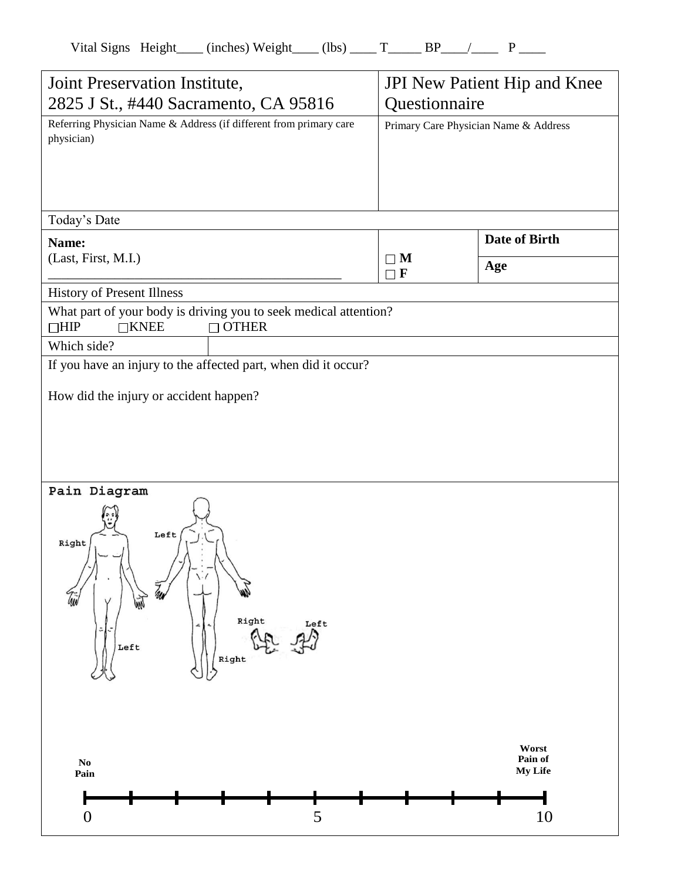| Vital Signs Height |  | (inches) Weight | (lbs) |  |  |
|--------------------|--|-----------------|-------|--|--|
|                    |  |                 |       |  |  |
|                    |  |                 |       |  |  |

| Joint Preservation Institute,<br>2825 J St., #440 Sacramento, CA 95816           |                                                                                  | <b>JPI</b> New Patient Hip and Knee<br>Questionnaire |                                   |  |
|----------------------------------------------------------------------------------|----------------------------------------------------------------------------------|------------------------------------------------------|-----------------------------------|--|
| Referring Physician Name & Address (if different from primary care<br>physician) |                                                                                  | Primary Care Physician Name & Address                |                                   |  |
| Today's Date                                                                     |                                                                                  |                                                      |                                   |  |
| Name:<br>(Last, First, M.I.)                                                     |                                                                                  | $\Box$ M<br>$\Box$ F                                 | <b>Date of Birth</b><br>Age       |  |
| History of Present Illness                                                       |                                                                                  |                                                      |                                   |  |
| $\Box$ HIP<br>$\Box$ KNEE                                                        | What part of your body is driving you to seek medical attention?<br>$\Box$ OTHER |                                                      |                                   |  |
| Which side?                                                                      |                                                                                  |                                                      |                                   |  |
|                                                                                  | If you have an injury to the affected part, when did it occur?                   |                                                      |                                   |  |
| How did the injury or accident happen?                                           |                                                                                  |                                                      |                                   |  |
| Pain Diagram<br>Left<br>Right<br>۰<br>Left                                       | Right<br>Left<br>Right                                                           |                                                      |                                   |  |
| $\mathbf{No}$<br>Pain<br>$\boldsymbol{0}$                                        | 5                                                                                |                                                      | Worst<br>Pain of<br>My Life<br>10 |  |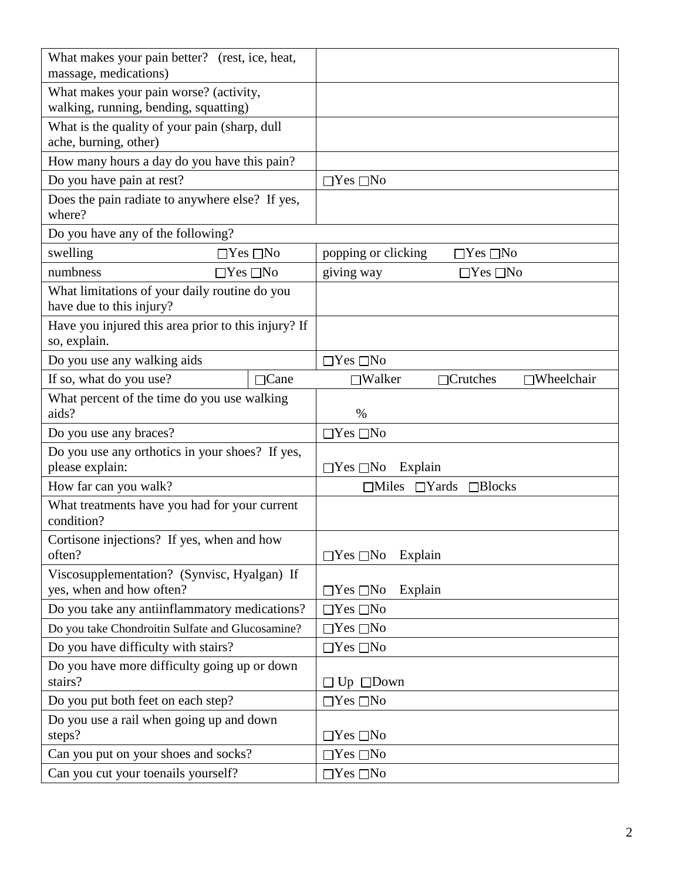| What makes your pain better? (rest, ice, heat,<br>massage, medications)         |                                                       |  |  |  |
|---------------------------------------------------------------------------------|-------------------------------------------------------|--|--|--|
| What makes your pain worse? (activity,<br>walking, running, bending, squatting) |                                                       |  |  |  |
| What is the quality of your pain (sharp, dull<br>ache, burning, other)          |                                                       |  |  |  |
| How many hours a day do you have this pain?                                     |                                                       |  |  |  |
| Do you have pain at rest?                                                       | $\Box$ Yes $\Box$ No                                  |  |  |  |
| Does the pain radiate to anywhere else? If yes,<br>where?                       |                                                       |  |  |  |
| Do you have any of the following?                                               |                                                       |  |  |  |
| swelling<br>$\Box$ Yes $\Box$ No                                                | popping or clicking<br>$\Box$ Yes $\Box$ No           |  |  |  |
| numbness<br>$\Box$ Yes $\Box$ No                                                | giving way<br>$\Box$ Yes $\Box$ No                    |  |  |  |
| What limitations of your daily routine do you<br>have due to this injury?       |                                                       |  |  |  |
| Have you injured this area prior to this injury? If<br>so, explain.             |                                                       |  |  |  |
| Do you use any walking aids                                                     | $\Box$ Yes $\Box$ No                                  |  |  |  |
| If so, what do you use?<br>$\Box$ Cane                                          | $\Box$ Crutches<br>$\Box$ Wheelchair<br>$\Box$ Walker |  |  |  |
| What percent of the time do you use walking<br>aids?                            | %                                                     |  |  |  |
| Do you use any braces?                                                          | $\Box$ Yes $\Box$ No                                  |  |  |  |
| Do you use any orthotics in your shoes? If yes,<br>please explain:              | $\Box$ Yes $\Box$ No<br>Explain                       |  |  |  |
| How far can you walk?                                                           | $\Box$ Yards $\Box$ Blocks<br>$\Box$ Miles            |  |  |  |
| What treatments have you had for your current<br>condition?                     |                                                       |  |  |  |
| Cortisone injections? If yes, when and how                                      |                                                       |  |  |  |
| often?                                                                          | $\Box$ Yes $\Box$ No Explain                          |  |  |  |
| Viscosupplementation? (Synvisc, Hyalgan) If<br>yes, when and how often?         | $\Box$ Yes $\Box$ No<br>Explain                       |  |  |  |
| Do you take any antiinflammatory medications?                                   | $\Box$ Yes $\Box$ No                                  |  |  |  |
| Do you take Chondroitin Sulfate and Glucosamine?                                | $\Box$ Yes $\Box$ No                                  |  |  |  |
| Do you have difficulty with stairs?                                             | $\Box$ Yes $\Box$ No                                  |  |  |  |
| Do you have more difficulty going up or down<br>stairs?                         | $\Box$ Up $\Box$ Down                                 |  |  |  |
| Do you put both feet on each step?                                              | $\Box$ Yes $\Box$ No                                  |  |  |  |
| Do you use a rail when going up and down                                        |                                                       |  |  |  |
| steps?                                                                          | $\Box$ Yes $\Box$ No                                  |  |  |  |
| Can you put on your shoes and socks?                                            | $\Box$ Yes $\Box$ No                                  |  |  |  |
| Can you cut your toenails yourself?                                             | $\Box$ Yes $\Box$ No                                  |  |  |  |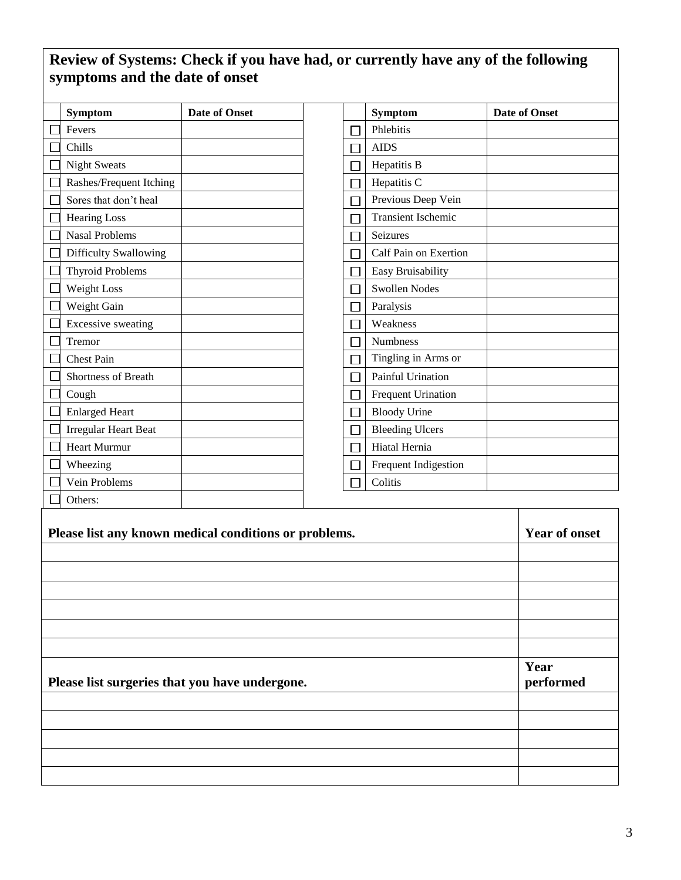## **Review of Systems: Check if you have had, or currently have any of the following symptoms and the date of onset**

| Symptom                   | <b>Date of Onset</b> |  | Symptom                   | <b>Date of Onset</b> |
|---------------------------|----------------------|--|---------------------------|----------------------|
| Fevers                    |                      |  | Phlebitis                 |                      |
| Chills                    |                      |  | <b>AIDS</b>               |                      |
| <b>Night Sweats</b>       |                      |  | Hepatitis B               |                      |
| Rashes/Frequent Itching   |                      |  | Hepatitis C               |                      |
| Sores that don't heal     |                      |  | Previous Deep Vein        |                      |
| <b>Hearing Loss</b>       |                      |  | <b>Transient Ischemic</b> |                      |
| <b>Nasal Problems</b>     |                      |  | Seizures                  |                      |
| Difficulty Swallowing     |                      |  | Calf Pain on Exertion     |                      |
| <b>Thyroid Problems</b>   |                      |  | Easy Bruisability         |                      |
| Weight Loss               |                      |  | <b>Swollen Nodes</b>      |                      |
| Weight Gain               |                      |  | Paralysis                 |                      |
| <b>Excessive sweating</b> |                      |  | Weakness                  |                      |
| Tremor                    |                      |  | <b>Numbness</b>           |                      |
| <b>Chest Pain</b>         |                      |  | Tingling in Arms or       |                      |
| Shortness of Breath       |                      |  | Painful Urination         |                      |
| Cough                     |                      |  | Frequent Urination        |                      |
| <b>Enlarged Heart</b>     |                      |  | <b>Bloody Urine</b>       |                      |
| Irregular Heart Beat      |                      |  | <b>Bleeding Ulcers</b>    |                      |
| <b>Heart Murmur</b>       |                      |  | Hiatal Hernia             |                      |
| Wheezing                  |                      |  | Frequent Indigestion      |                      |
| Vein Problems             |                      |  | Colitis                   |                      |
| Others:                   |                      |  |                           |                      |

| Please list any known medical conditions or problems. | <b>Year of onset</b> |
|-------------------------------------------------------|----------------------|
|                                                       |                      |
|                                                       |                      |
|                                                       |                      |
|                                                       |                      |
|                                                       |                      |
|                                                       | Year                 |
| Please list surgeries that you have undergone.        | performed            |
|                                                       |                      |
|                                                       |                      |
|                                                       |                      |
|                                                       |                      |
|                                                       |                      |